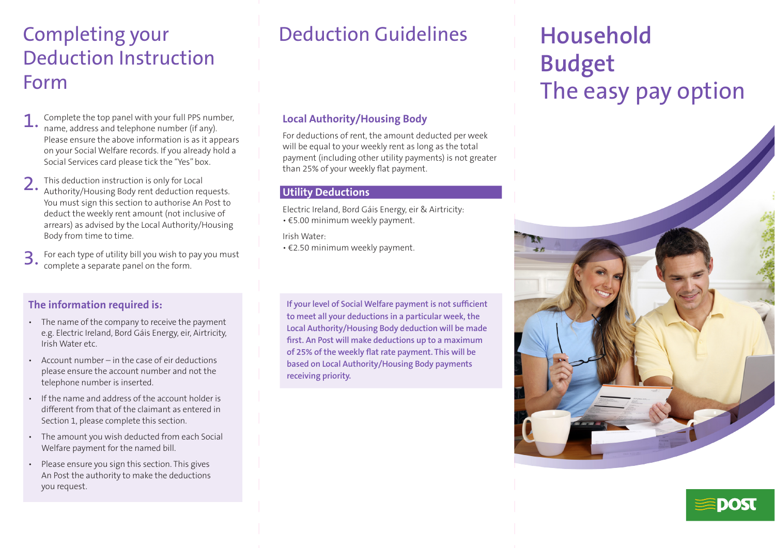# Completing your Deduction Instruction Form

- Complete the top panel with your full PPS number, name, address and telephone number (if any). Please ensure the above information is as it appears on your Social Welfare records. If you already hold a Social Services card please tick the "Yes" box.
- 2. This deduction instruction is only for Local<br>Authority/Housing Body rent deduction requests. You must sign this section to authorise An Post to deduct the weekly rent amount (not inclusive of arrears) as advised by the Local Authority/Housing Body from time to time.
- For each type of utility bill you wish to pay you must complete a separate panel on the form.

### **The information required is:**

- The name of the company to receive the payment e.g. Electric Ireland, Bord Gáis Energy, eir, Airtricity, Irish Water etc.
- Account number  $-$  in the case of eir deductions please ensure the account number and not the telephone number is inserted.
- If the name and address of the account holder is different from that of the claimant as entered in Section 1, please complete this section.
- The amount you wish deducted from each Social Welfare payment for the named bill.
- Please ensure you sign this section. This gives An Post the authority to make the deductions you request.

# Deduction Guidelines

### **Local Authority/Housing Body**

For deductions of rent, the amount deducted per week will be equal to your weekly rent as long as the total payment (including other utility payments) is not greater than 25% of your weekly flat payment.

#### **Utility Deductions**

Electric Ireland, Bord Gáis Energy, eir & Airtricity:

• €5.00 minimum weekly payment.

Irish Water:

• €2.50 minimum weekly payment.

**If your level of Social Welfare payment is not sufficient to meet all your deductions in a particular week, the Local Authority/Housing Body deduction will be made first. An Post will make deductions up to a maximum of 25% of the weekly flat rate payment. This will be based on Local Authority/Housing Body payments receiving priority.**

# **Household Budget** The easy pay option



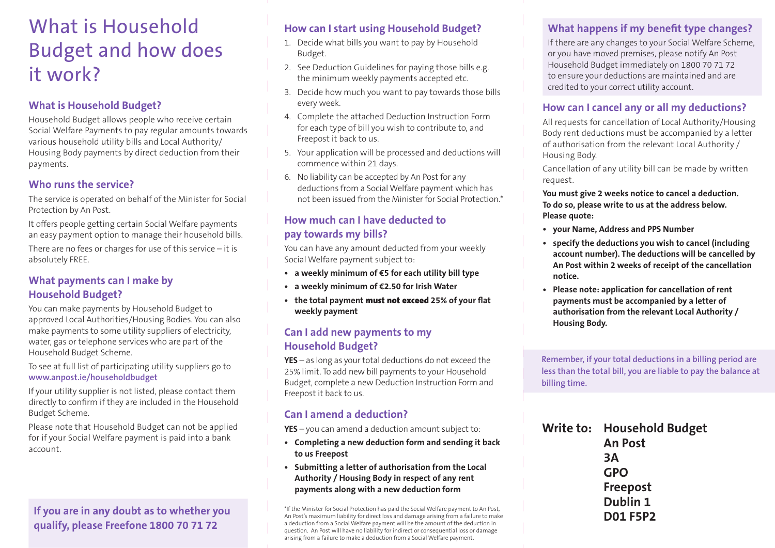# What is Household Budget and how does it work?

### **What is Household Budget?**

Household Budget allows people who receive certain Social Welfare Payments to pay regular amounts towards various household utility bills and Local Authority/ Housing Body payments by direct deduction from their payments.

#### **Who runs the service?**

The service is operated on behalf of the Minister for Social Protection by An Post.

It offers people getting certain Social Welfare payments an easy payment option to manage their household bills.

There are no fees or charges for use of this service  $-$  it is absolutely FREE.

### **What payments can I make by Household Budget?**

You can make payments by Household Budget to approved Local Authorities/Housing Bodies. You can also make payments to some utility suppliers of electricity, water, gas or telephone services who are part of the Household Budget Scheme.

To see at full list of participating utility suppliers go to **www.anpost.ie/householdbudget**

If your utility supplier is not listed, please contact them directly to confirm if they are included in the Household Budget Scheme.

Please note that Household Budget can not be applied for if your Social Welfare payment is paid into a bank account.

# **If you are in any doubt as to whether you qualify, please Freefone 1800 70 71 72**

### **How can I start using Household Budget?**

- 1. Decide what bills you want to pay by Household Budget.
- 2. See Deduction Guidelines for paying those bills e.g. the minimum weekly payments accepted etc.
- 3. Decide how much you want to pay towards those bills every week.
- 4. Complete the attached Deduction Instruction Form for each type of bill you wish to contribute to, and Freepost it back to us.
- 5. Your application will be processed and deductions will commence within 21 days.
- 6. No liability can be accepted by An Post for any deductions from a Social Welfare payment which has not been issued from the Minister for Social Protection.\*

# **How much can I have deducted to pay towards my bills?**

You can have any amount deducted from your weekly Social Welfare payment subject to:

- **• a weekly minimum of €5 for each utility bill type**
- **• a weekly minimum of €2.50 for Irish Water**
- **• the total payment** must not exceed **25% of your flat weekly payment**

#### **Can I add new payments to my Household Budget?**

**YES** – as long as your total deductions do not exceed the 25% limit. To add new bill payments to your Household Budget, complete a new Deduction Instruction Form and Freepost it back to us.

### **Can I amend a deduction?**

**YES** – you can amend a deduction amount subject to:

- **• Completing a new deduction form and sending it back to us Freepost**
- **• Submitting a letter of authorisation from the Local Authority / Housing Body in respect of any rent payments along with a new deduction form**

\*If the Minister for Social Protection has paid the Social Welfare payment to An Post, An Post's maximum liability for direct loss and damage arising from a failure to make a deduction from a Social Welfare payment will be the amount of the deduction in question. An Post will have no liability for indirect or consequential loss or damage arising from a failure to make a deduction from a Social Welfare payment.

# **What happens if my benefit type changes?**

If there are any changes to your Social Welfare Scheme, or you have moved premises, please notify An Post Household Budget immediately on 1800 70 71 72 to ensure your deductions are maintained and are credited to your correct utility account.

### **How can I cancel any or all my deductions?**

All requests for cancellation of Local Authority/Housing Body rent deductions must be accompanied by a letter of authorisation from the relevant Local Authority / Housing Body.

Cancellation of any utility bill can be made by written request.

**You must give 2 weeks notice to cancel a deduction. To do so, please write to us at the address below. Please quote:**

- **• your Name, Address and PPS Number**
- **• specify the deductions you wish to cancel (including account number). The deductions will be cancelled by An Post within 2 weeks of receipt of the cancellation notice.**
- **• Please note: application for cancellation of rent payments must be accompanied by a letter of authorisation from the relevant Local Authority / Housing Body.**

**Remember, if your total deductions in a billing period are less than the total bill, you are liable to pay the balance at billing time.**

| Write to: Household Budget |  |  |  |
|----------------------------|--|--|--|
| <b>An Post</b>             |  |  |  |
| 3A                         |  |  |  |
| <b>GPO</b>                 |  |  |  |
| <b>Freepost</b>            |  |  |  |
| Dublin 1                   |  |  |  |
| <b>D01 F5P2</b>            |  |  |  |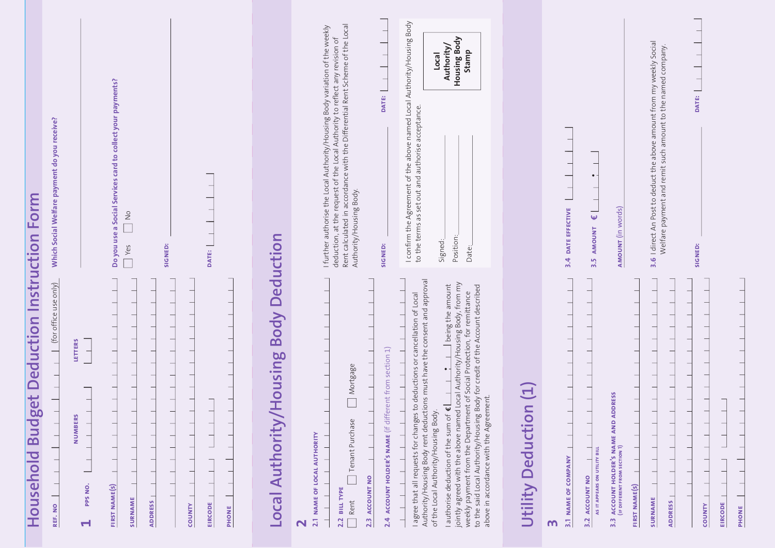| Household Budget Deduction Instruction Form                                                                                                                                                                                                                                                                                                                                                                                                                                                                                                                                        |                                                                                                                                                                                                                                                                                            |
|------------------------------------------------------------------------------------------------------------------------------------------------------------------------------------------------------------------------------------------------------------------------------------------------------------------------------------------------------------------------------------------------------------------------------------------------------------------------------------------------------------------------------------------------------------------------------------|--------------------------------------------------------------------------------------------------------------------------------------------------------------------------------------------------------------------------------------------------------------------------------------------|
| (for office use only)<br>REF. NO                                                                                                                                                                                                                                                                                                                                                                                                                                                                                                                                                   | Which Social Welfare payment do you receive?                                                                                                                                                                                                                                               |
| LETTERS<br>NUMBERS<br>—<br>PPS NO.<br><b>FIRST NAME(S)</b><br><b>SURNAME</b><br><b>ADDRESS</b><br>H                                                                                                                                                                                                                                                                                                                                                                                                                                                                                | Do you use a Social Services card to collect your payments?<br>$\frac{1}{\sqrt{2}}$<br>SIGNED:<br>Yes                                                                                                                                                                                      |
| <b>EIRCODE</b><br><b>COUNTY</b><br>PHONE                                                                                                                                                                                                                                                                                                                                                                                                                                                                                                                                           | DATE:                                                                                                                                                                                                                                                                                      |
| Housing Body Deduction<br><b>Local Authority</b>                                                                                                                                                                                                                                                                                                                                                                                                                                                                                                                                   |                                                                                                                                                                                                                                                                                            |
| ACCOUNT HOLDER'S NAME (if different from section 1)<br>Mortgage<br>Tenant Purchase<br>NAME OF LOCAL AUTHORITY<br><b>ACCOUNT NO</b><br><b>BILL TYPE</b><br>Rent<br>2.2<br>2.4<br>2.1<br>2.3                                                                                                                                                                                                                                                                                                                                                                                         | deduction, at the request of the Local Authority to reflect any revision of<br>Rent calculated in accordance with the Differential Rent Scheme of the Local<br>I further authorise the Local Authority/Housing Body variation of the weekly<br>DATE:<br>Authority/Housing Body.<br>SIGNED: |
| Authority/Housing Body rent deductions must have the consent and approval<br>jointly agreed with the above named Local Authority/Housing Body, from my<br>I being the amount<br>Body for credit of the Account described<br>weekly payment from the Department of Social Protection, for remittance<br>to deductions or cancellation of Local<br>above in accordance with the Agreement.<br>$\overline{\mathbf{w}}$<br>of the Local Authority/Housing Body.<br>I agree that all requests for changes<br>to the said Local Authority/Housing<br>I authorise deduction of the sum of | I confirm the Agreement of the above named Local Authority/Housing Body<br>Housing Body<br>Authority/<br>Stamp<br>Local<br>to the terms as set out and authorise acceptance.<br>Position:<br>Signed:<br>Date:                                                                              |
| $\Xi$<br>$\equiv$<br><b>Utility Deductio</b>                                                                                                                                                                                                                                                                                                                                                                                                                                                                                                                                       |                                                                                                                                                                                                                                                                                            |
| AS IT APPEARS ON UTILITY BILL<br><b>NAME OF COMPANY</b><br><b>ACCOUNT NO</b><br>3.2<br>3.3<br>$\overline{3}$<br>m                                                                                                                                                                                                                                                                                                                                                                                                                                                                  | $\bullet$<br>3.4 DATE EFFECTIVE<br>$\overline{\mathbf{y}}$<br>AMOUNT<br>3.5                                                                                                                                                                                                                |
| <b>ACCOUNT HOLDER'S NAME AND ADDRESS<br/>(IF DIFFERENT FROM SECTION 1)</b><br>FIRST NAME(S)<br>SURNAME<br><b>ADDRESS</b>                                                                                                                                                                                                                                                                                                                                                                                                                                                           | 3.6 I direct An Post to deduct the above amount from my weekly Social<br>Welfare payment and remit such amount to the named company.<br><b>AMOUNT</b> (in words)                                                                                                                           |
| <b>EIRCODE</b><br><b>COUNTY</b>                                                                                                                                                                                                                                                                                                                                                                                                                                                                                                                                                    | DATE:<br><b>SIGNED:</b>                                                                                                                                                                                                                                                                    |

PHONE

 $\overline{a}$  $\overline{a}$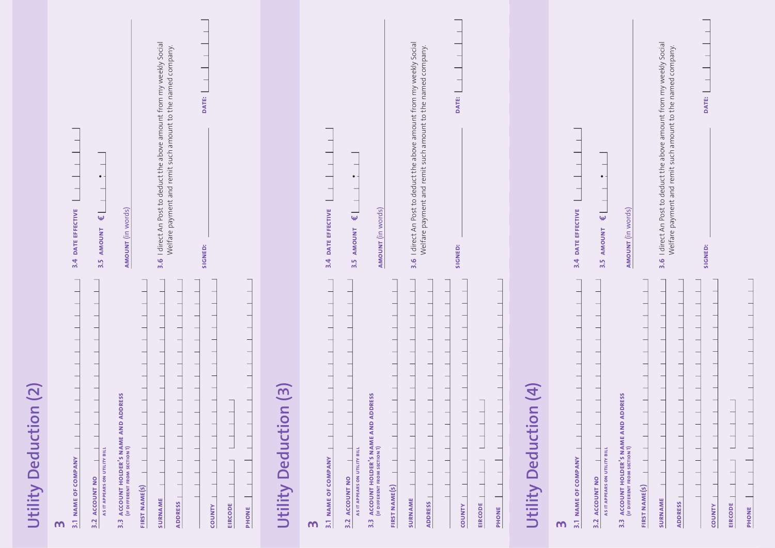|                       | I direct An Post to deduct the above amount from my weekly Social<br>Welfare payment and remit such amount to the named company.<br>$\overline{\phantom{0}}$<br>DATE:<br>$\bullet$<br>$\overline{\phantom{0}}$<br>DATE EFFECTIVE<br><b>AMOUNT</b> (in words)<br>-<br>$\pmb{\omega}$<br><b>AMOUNT</b><br>SIGNED:<br>3.4<br>3.6<br>3.5 |                                     | 3.6 I direct An Post to deduct the above amount from my weekly Social<br>Welfare payment and remit such amount to the named company<br>DATE:<br>$\bullet$<br><b>AMOUNT</b> (in words)<br>DATE EFFECTIVE<br>$\hat{\mathbf{w}}$<br>AMOUNT<br>SIGNED:<br>3.4<br>3.5                                   |                       | -<br>—<br>$\bullet$ -<br>$\overline{\phantom{0}}$<br><b>AMOUNT</b> (in words)<br>DATE EFFECTIVE<br>$\overline{\mathbf{y}}$<br>AMOUNT<br>3.4<br>3.5                                      | —<br>—<br>$\frac{1}{2}$<br>3.6 I direct An Post to deduct the above amount from my weekly Social<br>Welfare payment and remit such amount to the named company.<br>-<br>f<br>DATE:  <br>SIGNED: |
|-----------------------|--------------------------------------------------------------------------------------------------------------------------------------------------------------------------------------------------------------------------------------------------------------------------------------------------------------------------------------|-------------------------------------|----------------------------------------------------------------------------------------------------------------------------------------------------------------------------------------------------------------------------------------------------------------------------------------------------|-----------------------|-----------------------------------------------------------------------------------------------------------------------------------------------------------------------------------------|-------------------------------------------------------------------------------------------------------------------------------------------------------------------------------------------------|
| Utility Deduction (2) | <b>ADDRESS</b><br>3.3 ACCOUNT HOLDER'S NAME AND<br>(If DIFFERENT FROM SECTION 1)<br>AS IT APPEARS ON UTILITY BILL<br>3.1 NAME OF COMPANY<br><b>ACCOUNT NO</b><br>FIRST NAME(S)<br><b>SURNAME</b><br><b>ADDRESS</b><br><b>EIRCODE</b><br><b>COUNTY</b><br>PHONE<br>3.2<br>m                                                           | $\overline{3}$<br>Utility Deduction | <b>ADDRESS</b><br>$\qquad \qquad$<br><b>ACCOUNT HOLDER'S NAME AND<br/>(IF DIFFERENT FROM SECTION 1)</b><br>AS IT APPEARS ON UTILITY BILL<br>3.1 NAME OF COMPANY<br>3.2 ACCOUNT NO<br>FIRST NAME(S)<br>SURNAME<br><b>ADDRESS</b><br><b>EIRCODE</b><br><b>COUNTY</b><br>PHONE<br>3.3<br>$\mathbf{w}$ | Utility Deduction (4) | <b>ADDRESS</b><br><b>ACCOUNT HOLDER'S NAME AND<br/>(IF DIFFERENT FROM SECTION 1)</b><br>AS IT APPEARS ON UTILITY BILL<br>3.1 NAME OF COMPANY<br>3.2 ACCOUNT NO<br>$3.\overline{3}$<br>m | FIRST NAME(S)<br>SURNAME<br><b>ADDRESS</b>                                                                                                                                                      |

PHONE | **phone**

 $\Box$ 

 $EIRCODE$  | COUNTY |

**county eircode**